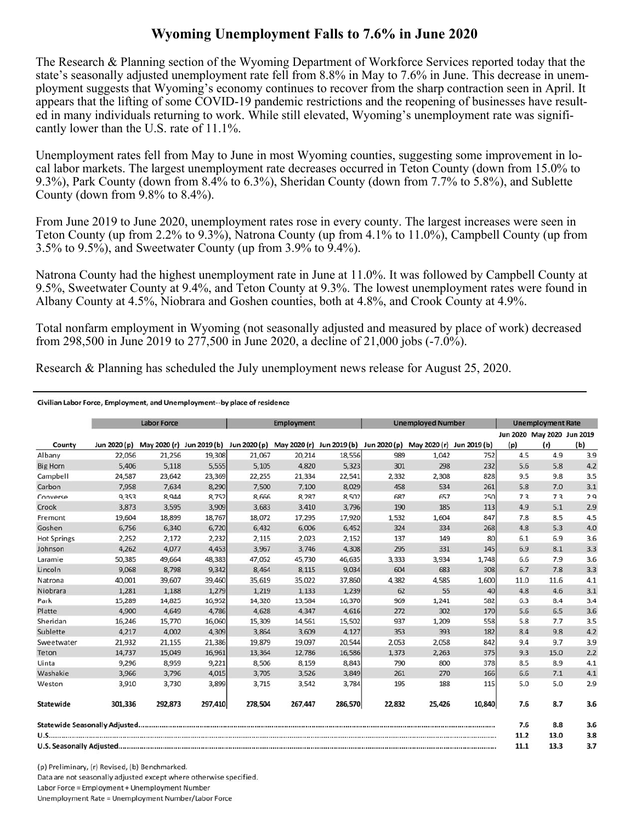## **Wyoming Unemployment Falls to 7.6% in June 2020**

The Research & Planning section of the Wyoming Department of Workforce Services reported today that the state's seasonally adjusted unemployment rate fell from 8.8% in May to 7.6% in June. This decrease in unemployment suggests that Wyoming's economy continues to recover from the sharp contraction seen in April. It appears that the lifting of some COVID-19 pandemic restrictions and the reopening of businesses have resulted in many individuals returning to work. While still elevated, Wyoming's unemployment rate was significantly lower than the U.S. rate of 11.1%.

Unemployment rates fell from May to June in most Wyoming counties, suggesting some improvement in local labor markets. The largest unemployment rate decreases occurred in Teton County (down from 15.0% to 9.3%), Park County (down from 8.4% to 6.3%), Sheridan County (down from 7.7% to 5.8%), and Sublette County (down from 9.8% to 8.4%).

From June 2019 to June 2020, unemployment rates rose in every county. The largest increases were seen in Teton County (up from 2.2% to 9.3%), Natrona County (up from 4.1% to 11.0%), Campbell County (up from 3.5% to 9.5%), and Sweetwater County (up from 3.9% to 9.4%).

Natrona County had the highest unemployment rate in June at 11.0%. It was followed by Campbell County at 9.5%, Sweetwater County at 9.4%, and Teton County at 9.3%. The lowest unemployment rates were found in Albany County at 4.5%, Niobrara and Goshen counties, both at 4.8%, and Crook County at 4.9%.

Total nonfarm employment in Wyoming (not seasonally adjusted and measured by place of work) decreased from 298,500 in June 2019 to 277,500 in June 2020, a decline of 21,000 jobs (-7.0%).

Research & Planning has scheduled the July unemployment news release for August 25, 2020.

## Civilian Labor Force, Employment, and Unemployment--by place of residence

|                    | <b>Labor Force</b> |                           |         | <b>Employment</b> |                                        |         | <b>Unemployed Number</b> |                           |        | <b>Unemployment Rate</b> |                                   |     |
|--------------------|--------------------|---------------------------|---------|-------------------|----------------------------------------|---------|--------------------------|---------------------------|--------|--------------------------|-----------------------------------|-----|
| County             | Jun 2020 (p)       | May 2020 (r) Jun 2019 (b) |         |                   | Jun 2020 (p) May 2020 (r) Jun 2019 (b) |         | Jun 2020 (p)             | May 2020 (r) Jun 2019 (b) |        | (p)                      | Jun 2020 May 2020 Jun 2019<br>(r) | (b) |
| Albany             | 22,056             | 21,256                    | 19,308  | 21,067            | 20,214                                 | 18,556  | 989                      | 1,042                     | 752    | 4.5                      | 4.9                               | 3.9 |
| <b>Big Horn</b>    | 5,406              | 5,118                     | 5,555   | 5,105             | 4,820                                  | 5,323   | 301                      | 298                       | 232    | 5.6                      | 5.8                               | 4.2 |
| Campbell           | 24,587             | 23,642                    | 23,369  | 22,255            | 21,334                                 | 22,541  | 2,332                    | 2,308                     | 828    | 9.5                      | 9.8                               | 3.5 |
| Carbon             | 7,958              | 7.634                     | 8,290   | 7,500             | 7,100                                  | 8,029   | 458                      | 534                       | 261    | 5.8                      | 7.0                               | 3.1 |
| Converse           | 9,353              | 8,944                     | 8,752   | 8,666             | 8,287                                  | 8,502   | 687                      | 657                       | 250    | 7.3                      | 7.3                               | 2.9 |
| Crook              | 3,873              | 3,595                     | 3,909   | 3,683             | 3,410                                  | 3,796   | 190                      | 185                       | 113    | 4.9                      | 5.1                               | 2.9 |
| Fremont            | 19,604             | 18,899                    | 18,767  | 18,072            | 17,295                                 | 17,920  | 1,532                    | 1,604                     | 847    | 7.8                      | 8.5                               | 4.5 |
| Goshen             | 6,756              | 6,340                     | 6,720   | 6,432             | 6,006                                  | 6,452   | 324                      | 334                       | 268    | 4.8                      | 5.3                               | 4.0 |
| <b>Hot Springs</b> | 2,252              | 2,172                     | 2,232   | 2,115             | 2,023                                  | 2,152   | 137                      | 149                       | 80     | 6.1                      | 6.9                               | 3.6 |
| Johnson            | 4,262              | 4,077                     | 4,453   | 3,967             | 3,746                                  | 4,308   | 295                      | 331                       | 145    | 6.9                      | 8.1                               | 3.3 |
| Laramie            | 50,385             | 49,664                    | 48,383  | 47,052            | 45,730                                 | 46,635  | 3,333                    | 3,934                     | 1,748  | 6.6                      | 7.9                               | 3.6 |
| Lincoln            | 9,068              | 8,798                     | 9,342   | 8,464             | 8,115                                  | 9,034   | 604                      | 683                       | 308    | 6.7                      | 7.8                               | 3.3 |
| Natrona            | 40,001             | 39,607                    | 39,460  | 35,619            | 35,022                                 | 37,860  | 4,382                    | 4,585                     | 1,600  | 11.0                     | 11.6                              | 4.1 |
| Niobrara           | 1,281              | 1,188                     | 1,279   | 1,219             | 1,133                                  | 1,239   | 62                       | 55                        | 40     | 4.8                      | 4.6                               | 3.1 |
| Park               | 15,289             | 14,825                    | 16,952  | 14,320            | 13,584                                 | 16,370  | 969                      | 1,241                     | 582    | 6.3                      | 8.4                               | 3.4 |
| Platte             | 4,900              | 4,649                     | 4,786   | 4,628             | 4,347                                  | 4,616   | 272                      | 302                       | 170    | 5.6                      | 6.5                               | 3.6 |
| Sheridan           | 16,246             | 15,770                    | 16,060  | 15,309            | 14,561                                 | 15,502  | 937                      | 1,209                     | 558    | 5.8                      | 7.7                               | 3.5 |
| Sublette           | 4,217              | 4,002                     | 4,309   | 3,864             | 3,609                                  | 4,127   | 353                      | 393                       | 182    | 8.4                      | 9.8                               | 4.2 |
| Sweetwater         | 21,932             | 21,155                    | 21,386  | 19,879            | 19,097                                 | 20,544  | 2,053                    | 2,058                     | 842    | 9.4                      | 9.7                               | 3.9 |
| Teton              | 14,737             | 15,049                    | 16,961  | 13.364            | 12,786                                 | 16,586  | 1,373                    | 2,263                     | 375    | 9.3                      | 15.0                              | 2.2 |
| Uinta              | 9,296              | 8,959                     | 9,221   | 8,506             | 8,159                                  | 8,843   | 790                      | 800                       | 378    | 8.5                      | 8.9                               | 4.1 |
| Washakie           | 3,966              | 3,796                     | 4,015   | 3,705             | 3,526                                  | 3,849   | 261                      | 270                       | 166    | 6.6                      | 7.1                               | 4.1 |
| Weston             | 3,910              | 3,730                     | 3,899   | 3,715             | 3,542                                  | 3,784   | 195                      | 188                       | 115    | 5.0                      | 5.0                               | 2.9 |
| Statewide          | 301,336            | 292,873                   | 297,410 | 278,504           | 267,447                                | 286,570 | 22,832                   | 25,426                    | 10,840 | 7.6                      | 8.7                               | 3.6 |
|                    |                    |                           |         |                   |                                        |         |                          |                           |        | 7.6                      | 8.8                               | 3.6 |
|                    |                    |                           |         |                   |                                        |         | 11.2                     | 13.0                      | 3.8    |                          |                                   |     |
|                    |                    |                           |         |                   |                                        |         | 11.1                     | 13.3                      | 3.7    |                          |                                   |     |

(p) Preliminary, (r) Revised, (b) Benchmarked. Data are not seasonally adjusted except where otherwise specified. Labor Force = Employment + Unemployment Number Unemployment Rate = Unemployment Number/Labor Force